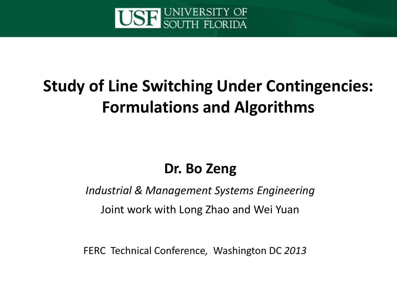

#### **Study of Line Switching Under Contingencies: Formulations and Algorithms**

#### **Dr. Bo Zeng**

*Industrial & Management Systems Engineering*

Joint work with Long Zhao and Wei Yuan

FERC Technical Conference*,* Washington DC *2013*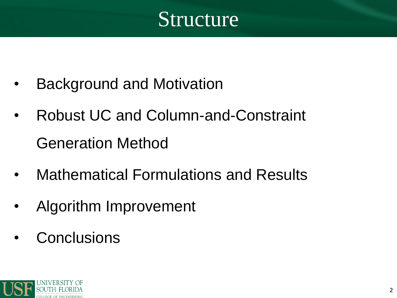

- Background and Motivation
- Robust UC and Column-and-Constraint Generation Method
- Mathematical Formulations and Results
- Algorithm Improvement
- **Conclusions**

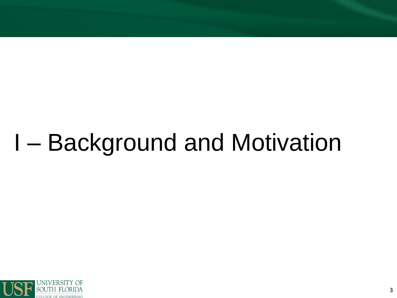## **I-Background and Motivation**

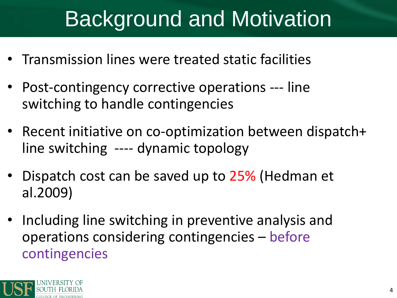### Background and Motivation

- Transmission lines were treated static facilities
- Post-contingency corrective operations --- line switching to handle contingencies
- Recent initiative on co-optimization between dispatch+ line switching ---- dynamic topology
- Dispatch cost can be saved up to 25% (Hedman et al.2009)
- Including line switching in preventive analysis and operations considering contingencies – before contingencies

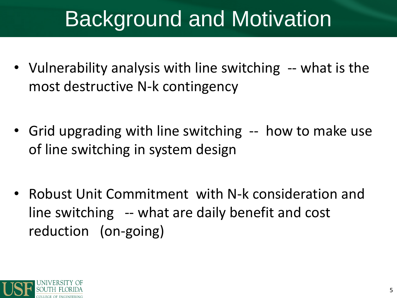### Background and Motivation

- Vulnerability analysis with line switching -- what is the most destructive N-k contingency
- Grid upgrading with line switching -- how to make use of line switching in system design
- Robust Unit Commitment with N-k consideration and line switching -- what are daily benefit and cost reduction (on-going)

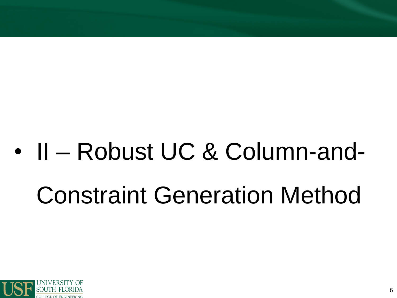### II - Robust UC & Column-and- $\bullet$ **Constraint Generation Method**

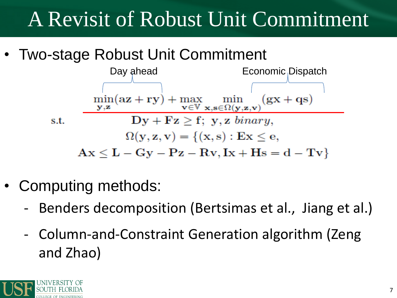### A Revisit of Robust Unit Commitment

• Two-stage Robust Unit Commitment



- Computing methods:
	- ‐ Benders decomposition (Bertsimas et al., Jiang et al.)
	- ‐ Column-and-Constraint Generation algorithm (Zeng and Zhao)

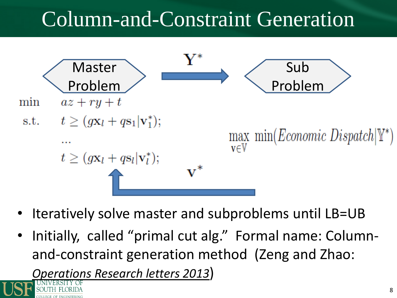### Column-and-Constraint Generation



- Iteratively solve master and subproblems until LB=UB
- Initially, called "primal cut alg." Formal name: Columnand-constraint generation method (Zeng and Zhao:

*Operations Research letters 2013*)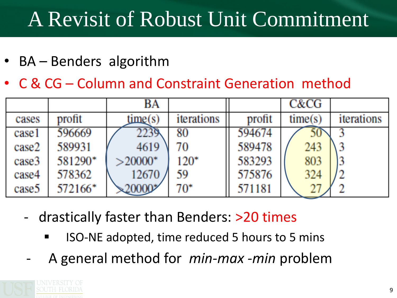### A Revisit of Robust Unit Commitment

- BA Benders algorithm
- C & CG Column and Constraint Generation method

|       |         | BA              |            |        | C&CG    |            |
|-------|---------|-----------------|------------|--------|---------|------------|
| cases | profit  | time(s)         | iterations | profit | time(s) | iterations |
| case1 | 596669  | 2239            | 80         | 594674 | 50      |            |
| case2 | 589931  | 4619            | 70         | 589478 | 243     |            |
| case3 | 581290* | $>20000$ *      | $120*$     | 583293 | 803     |            |
| case4 | 578362  | 12670           | 59         | 575876 | 324     |            |
| case5 | 572166* | $\approx 20000$ | $70*$      | 571181 |         |            |

- ‐ drastically faster than Benders: >20 times
	- ISO-NE adopted, time reduced 5 hours to 5 mins
	- ‐ A general method for *min-max -min* problem

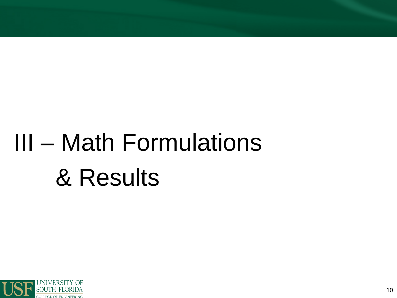# III - Math Formulations & Results

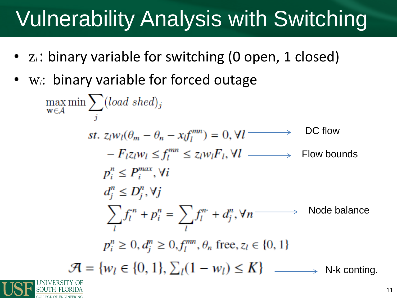### Vulnerability Analysis with Switching

- z<sub>i</sub>: binary variable for switching (0 open, 1 closed)
- W<sub>i</sub>: binary variable for forced outage

$$
\max_{w \in A} \min \sum_{j} (load \, shed)_{j}
$$
\n
$$
st. \, z_{l}w_{l}(\theta_{m} - \theta_{n} - x_{l}f_{l}^{mn}) = 0, \forall l \longrightarrow \text{DC flow}
$$
\n
$$
-F_{l}z_{l}w_{l} \leq f_{l}^{mn} \leq z_{l}w_{l}F_{l}, \forall l \longrightarrow \text{Flow bounds}
$$
\n
$$
p_{i}^{n} \leq P_{i}^{max}, \forall i
$$
\n
$$
d_{j}^{n} \leq D_{j}^{n}, \forall j
$$
\n
$$
\sum_{l} f_{l}^{n} + p_{i}^{n} = \sum_{l} f_{l}^{n} + d_{j}^{n}, \forall n \longrightarrow \text{Node balance}
$$
\n
$$
p_{i}^{n} \geq 0, d_{j}^{n} \geq 0, f_{l}^{mn}, \theta_{n} \text{ free}, z_{l} \in \{0, 1\}
$$
\n
$$
\mathcal{H} = \{w_{l} \in \{0, 1\}, \sum_{l} (1 - w_{l}) \leq K\} \longrightarrow \text{N-k conting.}
$$
\n
$$
t = \{w_{l} \in \{0, 1\}, \sum_{l} (1 - w_{l}) \leq K\}
$$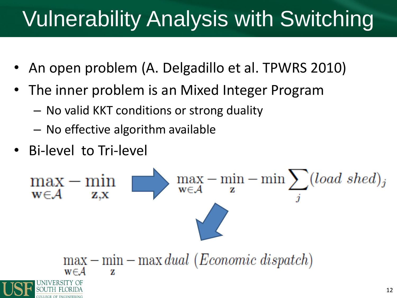### Vulnerability Analysis with Switching

- An open problem (A. Delgadillo et al. TPWRS 2010)
- The inner problem is an Mixed Integer Program
	- No valid KKT conditions or strong duality
	- No effective algorithm available
- Bi-level to Tri-level

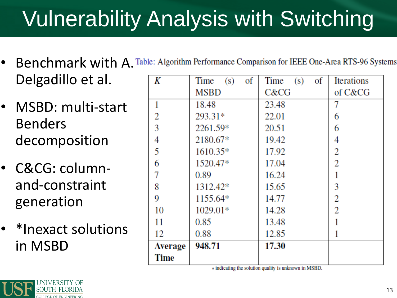### Vulnerability Analysis with Switching

- Benchmark with A. Table: Algorithm Performance Comparison for IEEE One-Area RTS-96 Systems Delgadillo et al.
- MSBD: multi-start Benders decomposition
- C&CG: columnand-constraint generation
- \*Inexact solutions in MSBD

| K              | of<br>(s)<br>Time | of<br>Time<br>(s) | <b>Iterations</b> |  |
|----------------|-------------------|-------------------|-------------------|--|
|                | MSBD              | C&CG              | of C&CG           |  |
| 1              | 18.48             | 23.48             |                   |  |
| 2              | 293.31*           | 22.01             | 6                 |  |
| 3              | 2261.59*          | 20.51             | 6                 |  |
| 4              | 2180.67*          | 19.42             | 4                 |  |
| 5              | $1610.35*$        | 17.92             | 2                 |  |
| 6              | 1520.47*          | 17.04             | 2                 |  |
| 7              | 0.89              | 16.24             |                   |  |
| 8              | 1312.42*          | 15.65             | 3                 |  |
| 9              | 1155.64*          | 14.77             | 2                 |  |
| 10             | 1029.01*          | 14.28             | 2                 |  |
| 11             | 0.85              | 13.48             |                   |  |
| 12             | 0.88              | 12.85             |                   |  |
| <b>Average</b> | 948.71            | 17.30             |                   |  |
| <b>Time</b>    |                   |                   |                   |  |

\* indicating the solution quality is unknown in MSBD.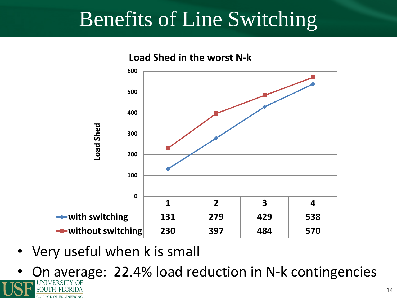#### Benefits of Line Switching



• Very useful when k is small

**FGE OF ENGINEERING** 

• On average: 22.4% load reduction in N-k contingencies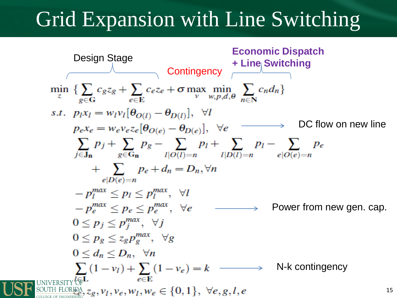### Grid Expansion with Line Switching



15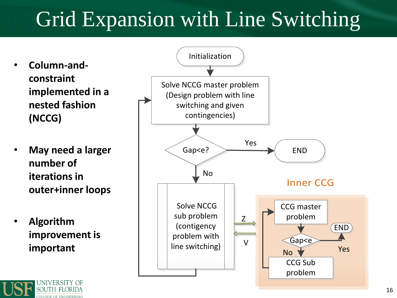### Grid Expansion with Line Switching

- **Column-andconstraint implemented in a nested fashion (NCCG)**
- **May need a larger number of iterations in outer+inner loops**
- **Algorithm improvement is important**

OLLEGE OF ENGINEERING

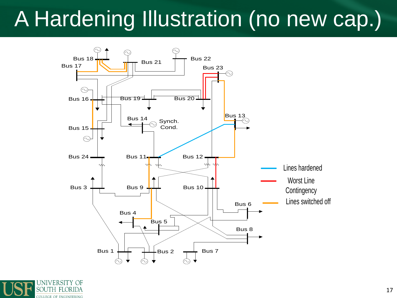### A Hardening Illustration (no new cap.)



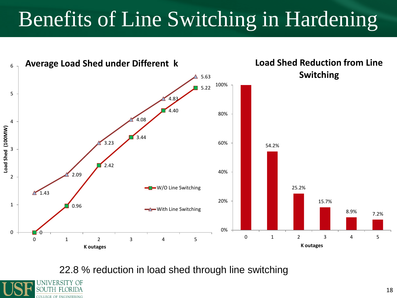### Benefits of Line Switching in Hardening



22.8 % reduction in load shed through line switching

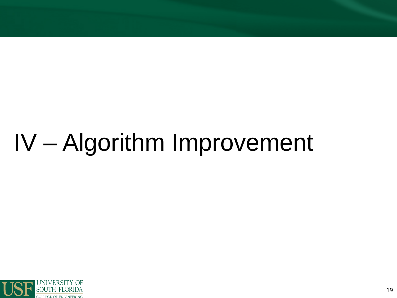## IV - Algorithm Improvement

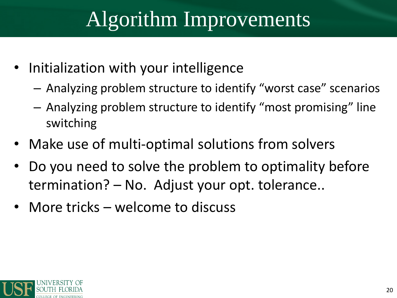### Algorithm Improvements

- Initialization with your intelligence
	- Analyzing problem structure to identify "worst case" scenarios
	- Analyzing problem structure to identify "most promising" line switching
- Make use of multi-optimal solutions from solvers
- Do you need to solve the problem to optimality before termination? – No. Adjust your opt. tolerance..
- More tricks welcome to discuss

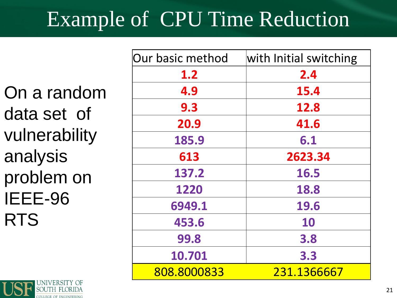### Example of CPU Time Reduction

On a random data set of vulnerability analysis problem on IEEE-96 RTS

| Our basic method | with Initial switching |  |
|------------------|------------------------|--|
| 1.2              | 2.4                    |  |
| 4.9              | 15.4                   |  |
| 9.3              | 12.8                   |  |
| 20.9             | 41.6                   |  |
| 185.9            | 6.1                    |  |
| 613              | 2623.34                |  |
| 137.2            | 16.5                   |  |
| 1220             | 18.8                   |  |
| 6949.1           | 19.6                   |  |
| 453.6            | <b>10</b>              |  |
| 99.8             | 3.8                    |  |
| 10.701           | 3.3                    |  |
| 808.8000833      | 231.1366667            |  |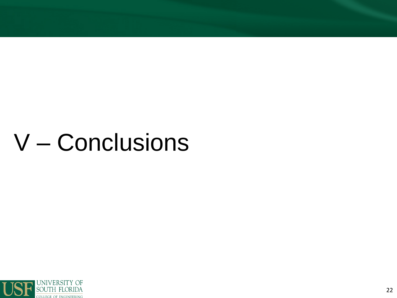### V - Conclusions

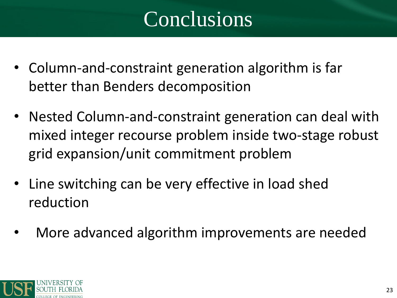### Conclusions

- Column-and-constraint generation algorithm is far better than Benders decomposition
- Nested Column-and-constraint generation can deal with mixed integer recourse problem inside two-stage robust grid expansion/unit commitment problem
- Line switching can be very effective in load shed reduction
- More advanced algorithm improvements are needed